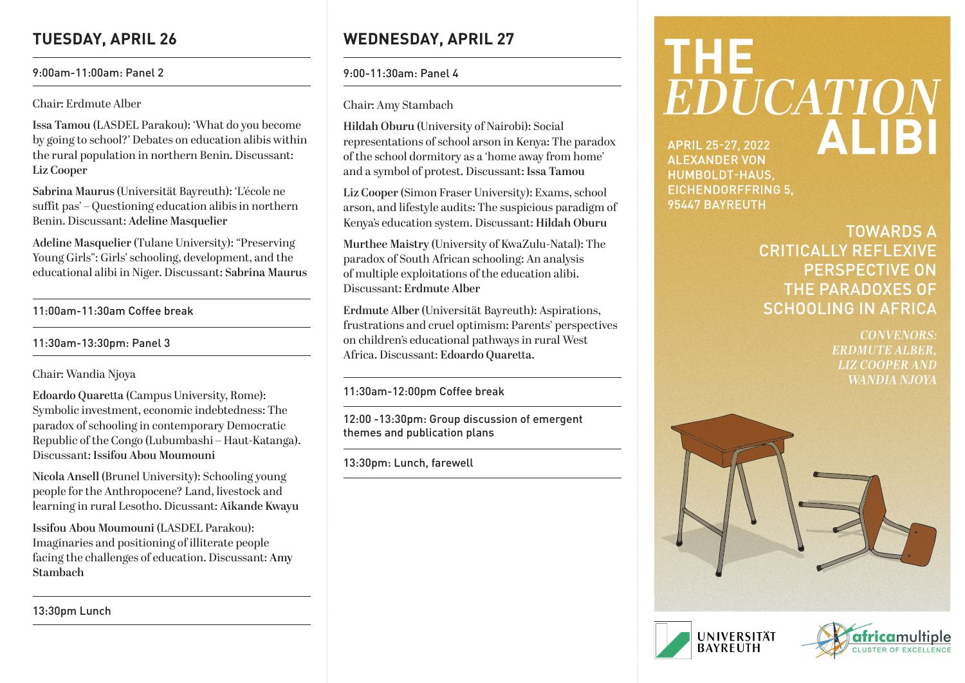# **TUESDAY, APRIL 26**

### 9:00am-11:00am: Panel 2

Chair: Erdmute Alber

**Issa Tamou** (LASDEL Parakou): 'What do you become by going to school?' Debates on education alibis within the rural population in northern Benin. Discussant: **Liz Cooper**

**Sabrina Maurus** (Universität Bayreuth): 'L'école ne suffit pas' – Questioning education alibis in northern Benin. Discussant: **Adeline Masquelier**

**Adeline Masquelier** (Tulane University): "Preserving Young Girls": Girls' schooling, development, and the educational alibi in Niger. Discussant: **Sabrina Maurus**

11:00am-11:30am Coffee break

11:30am-13:30pm: Panel 3

Chair: Wandia Njoya

**Edoardo Quaretta** (Campus University, Rome): Symbolic investment, economic indebtedness: The paradox of schooling in contemporary Democratic Republic of the Congo (Lubumbashi – Haut-Katanga). Discussant: **Issifou Abou Moumouni**

**Nicola Ansell** (Brunel University): Schooling young people for the Anthropocene? Land, livestock and learning in rural Lesotho. Dicussant: **Aikande Kwayu**

**Issifou Abou Moumouni** (LASDEL Parakou): Imaginaries and positioning of illiterate people facing the challenges of education. Discussant: **Amy Stambach**

13:30pm Lunch

# **WEDNESDAY, APRIL 27**

9:00-11:30am: Panel 4

Chair: Amy Stambach

**Hildah Oburu** (University of Nairobi): Social representations of school arson in Kenya: The paradox of the school dormitory as a 'home away from home' and a symbol of protest. Discussant: **Issa Tamou**

**Liz Cooper** (Simon Fraser University): Exams, school arson, and lifestyle audits: The suspicious paradigm of Kenya's education system. Discussant: **Hildah Oburu**

**Murthee Maistry** (University of KwaZulu-Natal): The paradox of South African schooling: An analysis of multiple exploitations of the education alibi. Discussant: **Erdmute Alber**

**Erdmute Alber** (Universität Bayreuth): Aspirations, frustrations and cruel optimism: Parents' perspectives on children's educational pathways in rural West Africa. Discussant: **Edoardo Quaretta.**

11:30am-12:00pm Coffee break

12:00 -13:30pm: Group discussion of emergent themes and publication plans

13:30pm: Lunch, farewell

# **THE** EDUCATION **ALIBI APRIL 25-27, 2022 ALEXANDER VON**

HUMBOLDT-HAUS, **EICHENDORFFRING 5.** 95447 BAYREUTH

# **TOWARDS A CRITICALLY REFLEXIVE PERSPECTIVE ON** THE PARADOXES OF **SCHOOLING IN AFRICA**

**CONVENORS: ERDMUTE ALBER. LIZ COOPER AND WANDIA NJOYA**